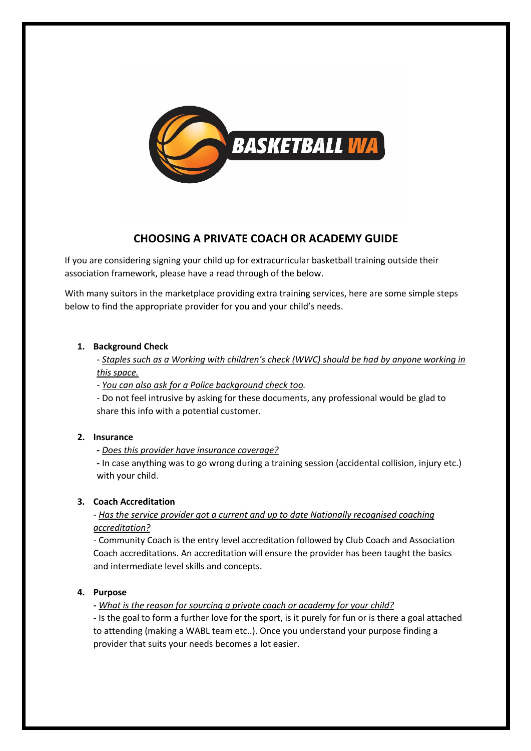

# **CHOOSING A PRIVATE COACH OR ACADEMY GUIDE**

If you are considering signing your child up for extracurricular basketball training outside their association framework, please have a read through of the below.

With many suitors in the marketplace providing extra training services, here are some simple steps below to find the appropriate provider for you and your child's needs.

#### **1. Background Check**

*- Staples such as a Working with children's check (WWC) should be had by anyone working in this space.*

*- You can also ask for a Police background check too.* 

- Do not feel intrusive by asking for these documents, any professional would be glad to share this info with a potential customer.

## **2. Insurance**

**-** *Does this provider have insurance coverage?*

**-** In case anything was to go wrong during a training session (accidental collision, injury etc.) with your child.

## **3. Coach Accreditation**

## *- Has the service provider got a current and up to date Nationally recognised coaching accreditation?*

*-* Community Coach is the entry level accreditation followed by Club Coach and Association Coach accreditations. An accreditation will ensure the provider has been taught the basics and intermediate level skills and concepts.

## **4. Purpose**

**-** *What is the reason for sourcing a private coach or academy for your child?*

**-** Is the goal to form a further love for the sport, is it purely for fun or is there a goal attached to attending (making a WABL team etc..). Once you understand your purpose finding a provider that suits your needs becomes a lot easier.